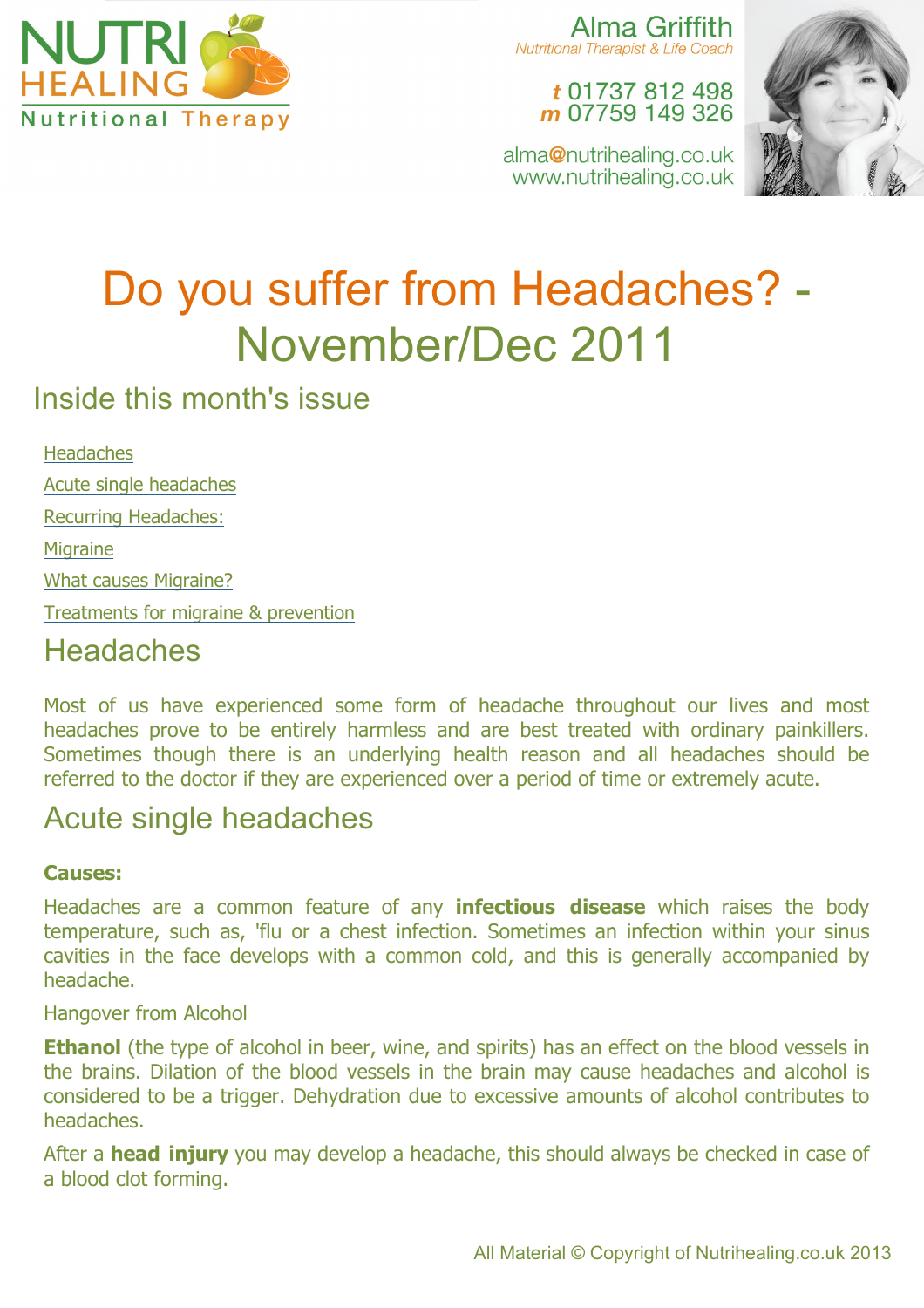

Alma Griffith Nutritional Therapist & Life Coach

#### t 01737 812 498 m 07759 149 326

alma@nutrihealing.co.uk www.nutrihealing.co.uk



# Do you suffer from Headaches? - November/Dec 2011

# Inside this month's issue

**Headaches** Acute single headaches Recurring Headaches: **Migraine** What causes Migraine? Treatments for migraine & prevention **Headaches** 

### Most of us have experienced some form of headache throughout our lives and most headaches prove to be entirely harmless and are best treated with ordinary painkillers. Sometimes though there is an underlying health reason and all headaches should be referred to the doctor if they are experienced over a period of time or extremely acute.

# Acute single headaches

#### **Causes:**

Headaches are a common feature of any **infectious disease** which raises the body temperature, such as, 'flu or a chest infection. Sometimes an infection within your sinus cavities in the face develops with a common cold, and this is generally accompanied by headache.

Hangover from Alcohol

**Ethanol** (the type of alcohol in beer, wine, and spirits) has an effect on the blood vessels in the brains. Dilation of the blood vessels in the brain may cause headaches and alcohol is considered to be a trigger. Dehydration due to excessive amounts of alcohol contributes to headaches.

After a **head injury** you may develop a headache, this should always be checked in case of a blood clot forming.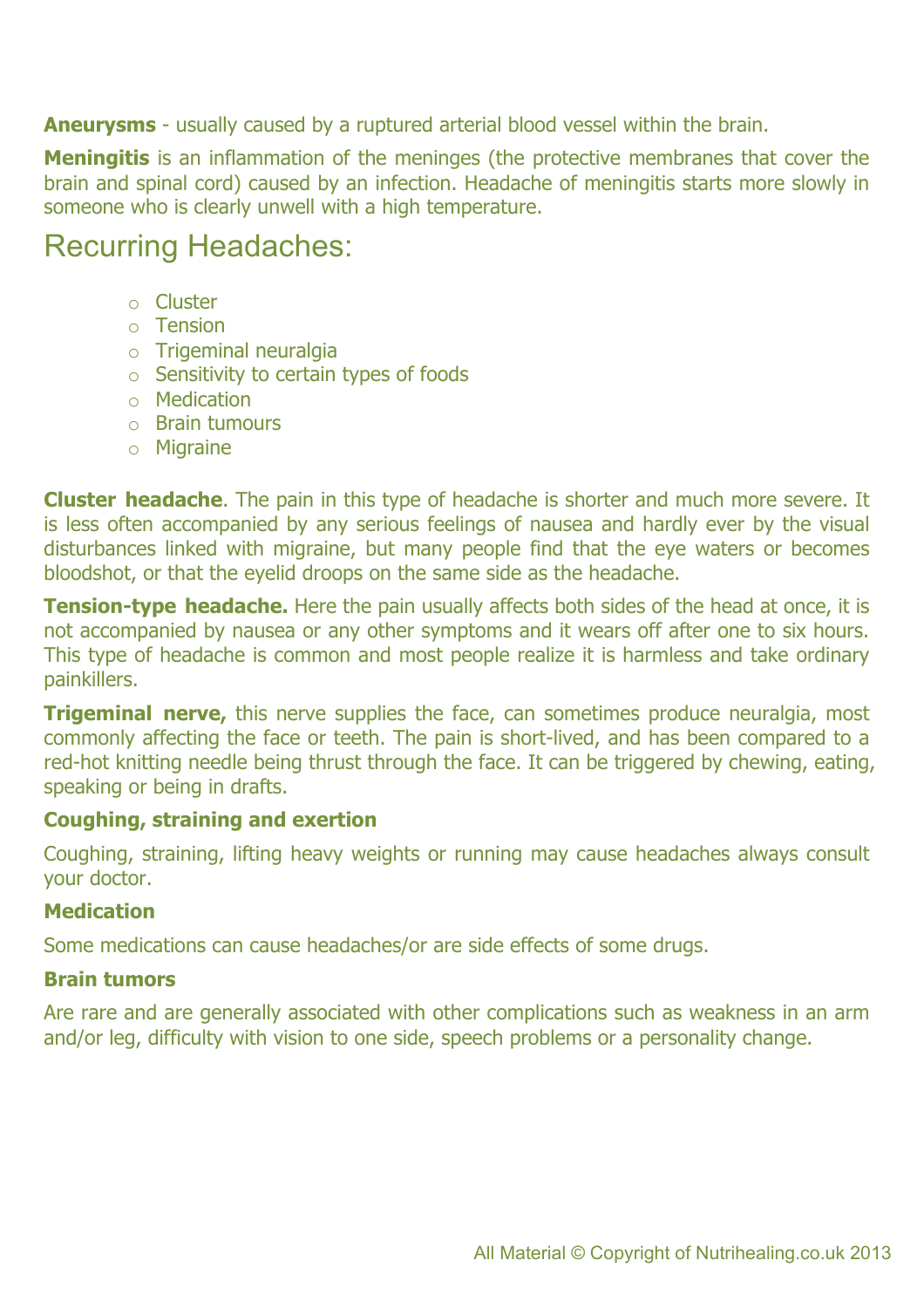**Aneurysms** - usually caused by a ruptured arterial blood vessel within the brain.

**Meningitis** is an inflammation of the meninges (the protective membranes that cover the brain and spinal cord) caused by an infection. Headache of meningitis starts more slowly in someone who is clearly unwell with a high temperature.

### Recurring Headaches:

- o Cluster
- o Tension
- o Trigeminal neuralgia
- o Sensitivity to certain types of foods
- o Medication
- o Brain tumours
- o Migraine

**Cluster headache**. The pain in this type of headache is shorter and much more severe. It is less often accompanied by any serious feelings of nausea and hardly ever by the visual disturbances linked with migraine, but many people find that the eye waters or becomes bloodshot, or that the eyelid droops on the same side as the headache.

**Tension-type headache.** Here the pain usually affects both sides of the head at once, it is not accompanied by nausea or any other symptoms and it wears off after one to six hours. This type of headache is common and most people realize it is harmless and take ordinary painkillers.

**Trigeminal nerve,** this nerve supplies the face, can sometimes produce neuralgia, most commonly affecting the face or teeth. The pain is short-lived, and has been compared to a red-hot knitting needle being thrust through the face. It can be triggered by chewing, eating, speaking or being in drafts.

#### **Coughing, straining and exertion**

Coughing, straining, lifting heavy weights or running may cause headaches always consult your doctor.

#### **Medication**

Some medications can cause headaches/or are side effects of some drugs.

#### **Brain tumors**

Are rare and are generally associated with other complications such as weakness in an arm and/or leg, difficulty with vision to one side, speech problems or a personality change.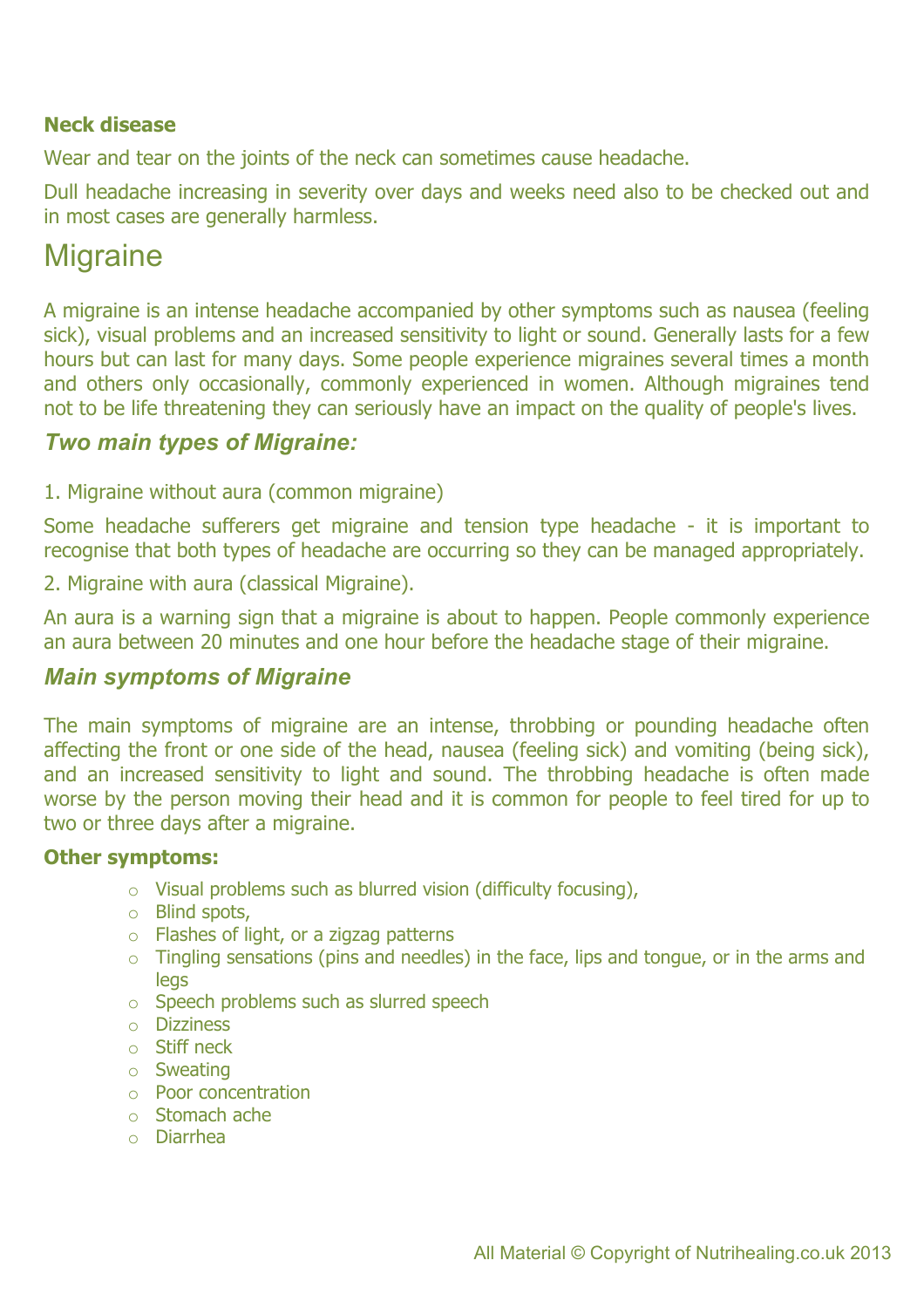#### **Neck disease**

Wear and tear on the joints of the neck can sometimes cause headache.

Dull headache increasing in severity over days and weeks need also to be checked out and in most cases are generally harmless.

### **Migraine**

A migraine is an intense headache accompanied by other symptoms such as nausea (feeling sick), visual problems and an increased sensitivity to light or sound. Generally lasts for a few hours but can last for many days. Some people experience migraines several times a month and others only occasionally, commonly experienced in women. Although migraines tend not to be life threatening they can seriously have an impact on the quality of people's lives.

#### *Two main types of Migraine:*

1. Migraine without aura (common migraine)

Some headache sufferers get migraine and tension type headache - it is important to recognise that both types of headache are occurring so they can be managed appropriately.

2. Migraine with aura (classical Migraine).

An aura is a warning sign that a migraine is about to happen. People commonly experience an aura between 20 minutes and one hour before the headache stage of their migraine.

#### *Main symptoms of Migraine*

The main symptoms of migraine are an intense, throbbing or pounding headache often affecting the front or one side of the head, nausea (feeling sick) and vomiting (being sick), and an increased sensitivity to light and sound. The throbbing headache is often made worse by the person moving their head and it is common for people to feel tired for up to two or three days after a migraine.

#### **Other symptoms:**

- o Visual problems such as blurred vision (difficulty focusing),
- o Blind spots,
- o Flashes of light, or a zigzag patterns
- $\circ$  Tingling sensations (pins and needles) in the face, lips and tongue, or in the arms and legs
- o Speech problems such as slurred speech
- o Dizziness
- o Stiff neck
- o Sweating
- o Poor concentration
- o Stomach ache
- o Diarrhea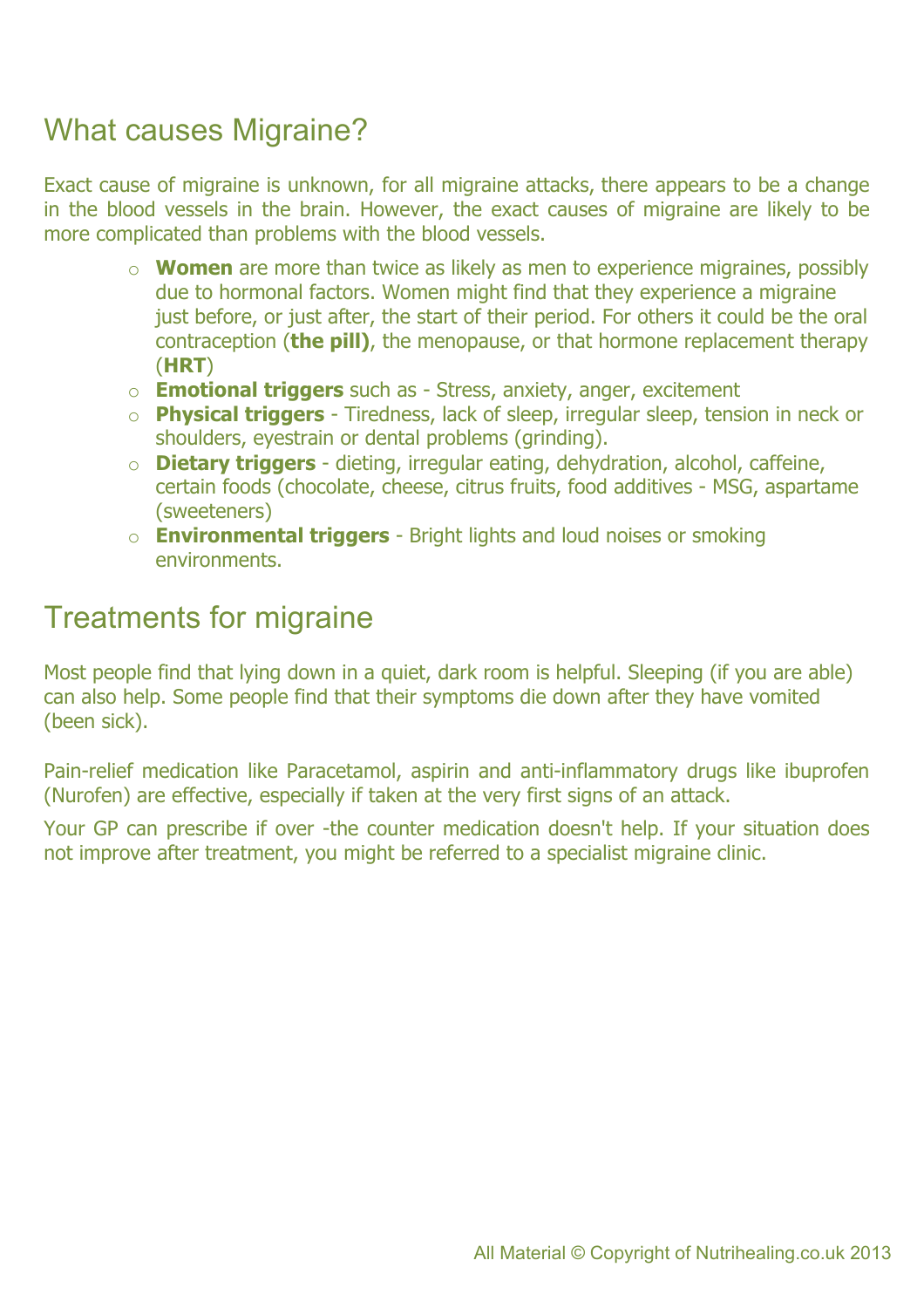# What causes Migraine?

Exact cause of migraine is unknown, for all migraine attacks, there appears to be a change in the blood vessels in the brain. However, the exact causes of migraine are likely to be more complicated than problems with the blood vessels.

- o **Women** are more than twice as likely as men to experience migraines, possibly due to hormonal factors. Women might find that they experience a migraine just before, or just after, the start of their period. For others it could be the oral contraception (**the pill)**, the menopause, or that hormone replacement therapy (**HRT**)
- o **Emotional triggers** such as Stress, anxiety, anger, excitement
- o **Physical triggers** Tiredness, lack of sleep, irregular sleep, tension in neck or shoulders, eyestrain or dental problems (grinding).
- o **Dietary triggers** dieting, irregular eating, dehydration, alcohol, caffeine, certain foods (chocolate, cheese, citrus fruits, food additives - MSG, aspartame (sweeteners)
- o **Environmental triggers** Bright lights and loud noises or smoking environments.

### Treatments for migraine

Most people find that lying down in a quiet, dark room is helpful. Sleeping (if you are able) can also help. Some people find that their symptoms die down after they have vomited (been sick).

Pain-relief medication like Paracetamol, aspirin and anti-inflammatory drugs like ibuprofen (Nurofen) are effective, especially if taken at the very first signs of an attack.

Your GP can prescribe if over -the counter medication doesn't help. If your situation does not improve after treatment, you might be referred to a specialist migraine clinic.